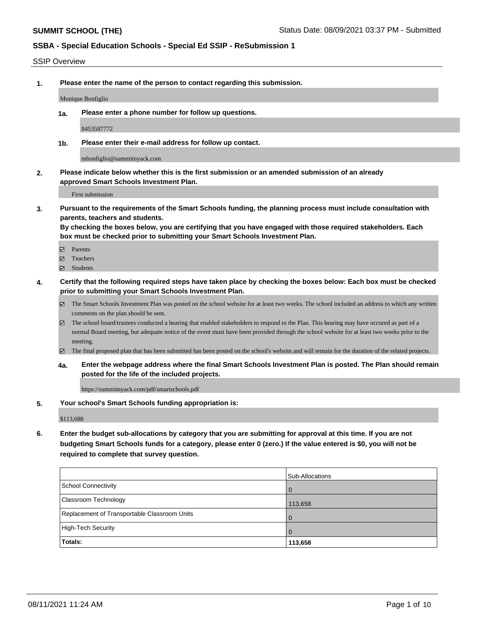### SSIP Overview

**1. Please enter the name of the person to contact regarding this submission.**

Monique Bonfiglio

**1a. Please enter a phone number for follow up questions.**

8453587772

**1b. Please enter their e-mail address for follow up contact.**

mbonfiglio@summitnyack.com

**2. Please indicate below whether this is the first submission or an amended submission of an already approved Smart Schools Investment Plan.**

First submission

**3. Pursuant to the requirements of the Smart Schools funding, the planning process must include consultation with parents, teachers and students.**

**By checking the boxes below, you are certifying that you have engaged with those required stakeholders. Each box must be checked prior to submitting your Smart Schools Investment Plan.**

- Parents
- Teachers
- Students
- **4. Certify that the following required steps have taken place by checking the boxes below: Each box must be checked prior to submitting your Smart Schools Investment Plan.**
	- The Smart Schools Investment Plan was posted on the school website for at least two weeks. The school included an address to which any written comments on the plan should be sent.
	- The school board/trustees conducted a hearing that enabled stakeholders to respond to the Plan. This hearing may have occured as part of a normal Board meeting, but adequate notice of the event must have been provided through the school website for at least two weeks prior to the meeting.
	- The final proposed plan that has been submitted has been posted on the school's website.and will remain for the duration of the related projects.
	- **4a. Enter the webpage address where the final Smart Schools Investment Plan is posted. The Plan should remain posted for the life of the included projects.**

https://summitnyack.com/pdf/smartschools.pdf

**5. Your school's Smart Schools funding appropriation is:**

\$113,688

**6. Enter the budget sub-allocations by category that you are submitting for approval at this time. If you are not budgeting Smart Schools funds for a category, please enter 0 (zero.) If the value entered is \$0, you will not be required to complete that survey question.**

|                                              | Sub-Allocations |
|----------------------------------------------|-----------------|
| School Connectivity                          | <b>O</b>        |
| Classroom Technology                         | 113,658         |
| Replacement of Transportable Classroom Units | $\overline{0}$  |
| High-Tech Security                           | 1 O             |
| Totals:                                      | 113,658         |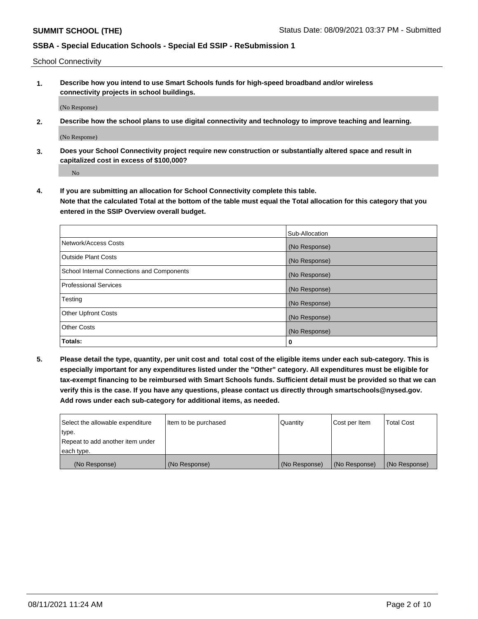School Connectivity

**1. Describe how you intend to use Smart Schools funds for high-speed broadband and/or wireless connectivity projects in school buildings.**

(No Response)

**2. Describe how the school plans to use digital connectivity and technology to improve teaching and learning.**

(No Response)

**3. Does your School Connectivity project require new construction or substantially altered space and result in capitalized cost in excess of \$100,000?**

No

**4. If you are submitting an allocation for School Connectivity complete this table. Note that the calculated Total at the bottom of the table must equal the Total allocation for this category that you entered in the SSIP Overview overall budget.** 

|                                            | Sub-Allocation |
|--------------------------------------------|----------------|
| Network/Access Costs                       | (No Response)  |
| <b>Outside Plant Costs</b>                 | (No Response)  |
| School Internal Connections and Components | (No Response)  |
| <b>Professional Services</b>               | (No Response)  |
| Testing                                    | (No Response)  |
| <b>Other Upfront Costs</b>                 | (No Response)  |
| <b>Other Costs</b>                         | (No Response)  |
| Totals:                                    | 0              |

**5. Please detail the type, quantity, per unit cost and total cost of the eligible items under each sub-category. This is especially important for any expenditures listed under the "Other" category. All expenditures must be eligible for tax-exempt financing to be reimbursed with Smart Schools funds. Sufficient detail must be provided so that we can verify this is the case. If you have any questions, please contact us directly through smartschools@nysed.gov. Add rows under each sub-category for additional items, as needed.**

| each type.<br>(No Response)      | (No Response)          | (No Response) | (No Response) | (No Response)     |
|----------------------------------|------------------------|---------------|---------------|-------------------|
|                                  |                        |               |               |                   |
| Repeat to add another item under |                        |               |               |                   |
| ∣type.                           |                        |               |               |                   |
| Select the allowable expenditure | I Item to be purchased | Quantity      | Cost per Item | <b>Total Cost</b> |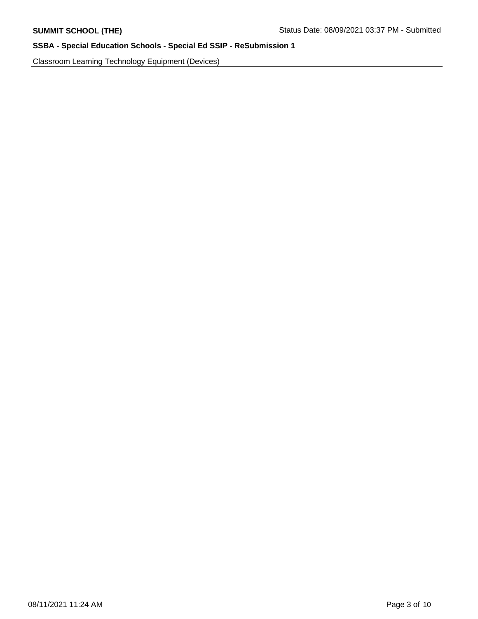Classroom Learning Technology Equipment (Devices)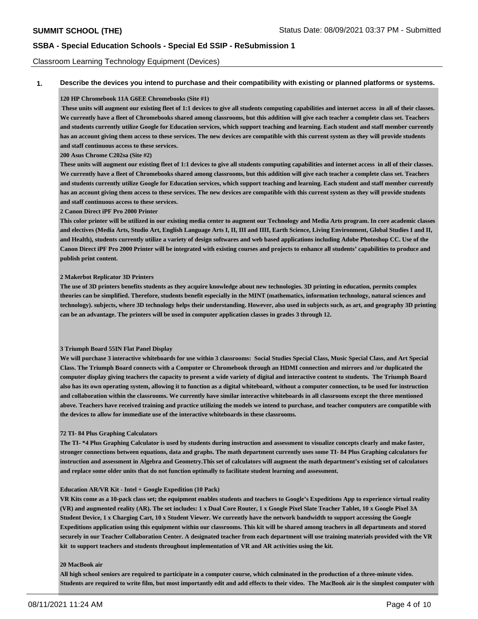### Classroom Learning Technology Equipment (Devices)

**1. Describe the devices you intend to purchase and their compatibility with existing or planned platforms or systems.**

### **120 HP Chromebook 11A G6EE Chromebooks (Site #1)**

 **These units will augment our existing fleet of 1:1 devices to give all students computing capabilities and internet access in all of their classes. We currently have a fleet of Chromebooks shared among classrooms, but this addition will give each teacher a complete class set. Teachers and students currently utilize Google for Education services, which support teaching and learning. Each student and staff member currently has an account giving them access to these services. The new devices are compatible with this current system as they will provide students and staff continuous access to these services.** 

**200 Asus Chrome C202sa (Site #2)**

**These units will augment our existing fleet of 1:1 devices to give all students computing capabilities and internet access in all of their classes. We currently have a fleet of Chromebooks shared among classrooms, but this addition will give each teacher a complete class set. Teachers and students currently utilize Google for Education services, which support teaching and learning. Each student and staff member currently has an account giving them access to these services. The new devices are compatible with this current system as they will provide students and staff continuous access to these services.** 

**2 Canon Direct iPF Pro 2000 Printer** 

**This color printer will be utilized in our existing media center to augment our Technology and Media Arts program. In core academic classes and electives (Media Arts, Studio Art, English Language Arts I, II, III and IIII, Earth Science, Living Environment, Global Studies I and II, and Health), students currently utilize a variety of design softwares and web based applications including Adobe Photoshop CC. Use of the Canon Direct iPF Pro 2000 Printer will be integrated with existing courses and projects to enhance all students' capabilities to produce and publish print content.** 

#### **2 Makerbot Replicator 3D Printers**

**The use of 3D printers benefits students as they acquire knowledge about new technologies. 3D printing in education, permits complex theories can be simplified. Therefore, students benefit especially in the MINT (mathematics, information technology, natural sciences and technology). subjects, where 3D technology helps their understanding. However, also used in subjects such, as art, and geography 3D printing can be an advantage. The printers will be used in computer application classes in grades 3 through 12.**

#### **3 Triumph Board 55IN Flat Panel Display**

**We will purchase 3 interactive whiteboards for use within 3 classrooms: Social Studies Special Class, Music Special Class, and Art Special Class. The Triumph Board connects with a Computer or Chromebook through an HDMI connection and mirrors and /or duplicated the computer display giving teachers the capacity to present a wide variety of digital and interactive content to students. The Triumph Board also has its own operating system, allowing it to function as a digital whiteboard, without a computer connection, to be used for instruction and collaboration within the classrooms. We currently have similar interactive whiteboards in all classrooms except the three mentioned above. Teachers have received training and practice utilizing the models we intend to purchase, and teacher computers are compatible with the devices to allow for immediate use of the interactive whiteboards in these classrooms.** 

### **72 TI- 84 Plus Graphing Calculators**

**The TI- \*4 Plus Graphing Calculator is used by students during instruction and assessment to visualize concepts clearly and make faster, stronger connections between equations, data and graphs. The math department currently uses some TI- 84 Plus Graphing calculators for instruction and assessment in Algebra and Geometry.This set of calculators will augment the math department's existing set of calculators and replace some older units that do not function optimally to facilitate student learning and assessment.** 

#### **Education AR/VR Kit - Intel + Google Expedition (10 Pack)**

**VR Kits come as a 10-pack class set; the equipment enables students and teachers to Google's Expeditions App to experience virtual reality (VR) and augmented reality (AR). The set includes: 1 x Dual Core Router, 1 x Google Pixel Slate Teacher Tablet, 10 x Google Pixel 3A Student Device, 1 x Charging Cart, 10 x Student Viewer. We currently have the network bandwidth to support accessing the Google Expeditions application using this equipment within our classrooms. This kit will be shared among teachers in all departments and stored securely in our Teacher Collaboration Center. A designated teacher from each department will use training materials provided with the VR kit to support teachers and students throughout implementation of VR and AR activities using the kit.** 

#### **20 MacBook air**

**All high school seniors are required to participate in a computer course, which culminated in the production of a three-minute video. Students are required to write film, but most importantly edit and add effects to their video. The MacBook air is the simplest computer with**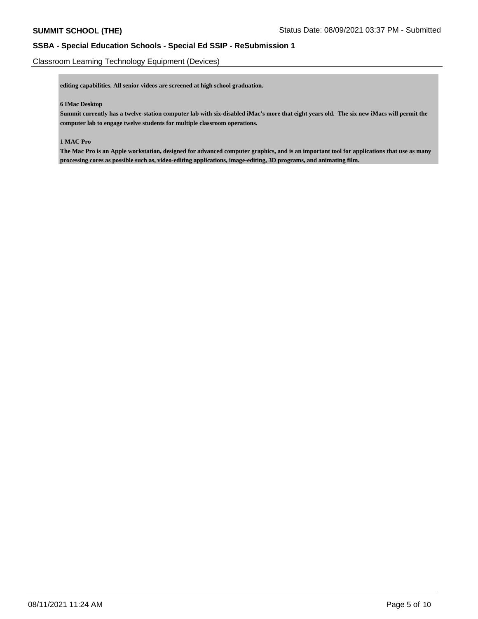Classroom Learning Technology Equipment (Devices)

**editing capabilities. All senior videos are screened at high school graduation.**

### **6 IMac Desktop**

**Summit currently has a twelve-station computer lab with six-disabled iMac's more that eight years old. The six new iMacs will permit the computer lab to engage twelve students for multiple classroom operations.** 

### **1 MAC Pro**

**The Mac Pro is an Apple workstation, designed for advanced computer graphics, and is an important tool for applications that use as many processing cores as possible such as, video-editing applications, image-editing, 3D programs, and animating film.**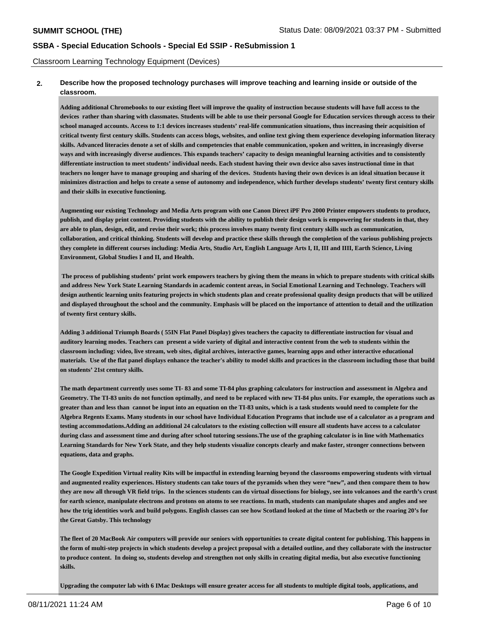Classroom Learning Technology Equipment (Devices)

## **2. Describe how the proposed technology purchases will improve teaching and learning inside or outside of the classroom.**

**Adding additional Chromebooks to our existing fleet will improve the quality of instruction because students will have full access to the devices rather than sharing with classmates. Students will be able to use their personal Google for Education services through access to their school managed accounts. Access to 1:1 devices increases students' real-life communication situations, thus increasing their acquisition of critical twenty first century skills. Students can access blogs, websites, and online text giving them experience developing information literacy skills. Advanced literacies denote a set of skills and competencies that enable communication, spoken and written, in increasingly diverse ways and with increasingly diverse audiences. This expands teachers' capacity to design meaningful learning activities and to consistently differentiate instruction to meet students' individual needs. Each student having their own device also saves instructional time in that teachers no longer have to manage grouping and sharing of the devices. Students having their own devices is an ideal situation because it minimizes distraction and helps to create a sense of autonomy and independence, which further develops students' twenty first century skills and their skills in executive functioning.** 

**Augmenting our existing Technology and Media Arts program with one Canon Direct iPF Pro 2000 Printer empowers students to produce, publish, and display print content. Providing students with the ability to publish their design work is empowering for students in that, they are able to plan, design, edit, and revise their work; this process involves many twenty first century skills such as communication, collaboration, and critical thinking. Students will develop and practice these skills through the completion of the various publishing projects they complete in different courses including: Media Arts, Studio Art, English Language Arts I, II, III and IIII, Earth Science, Living Environment, Global Studies I and II, and Health.** 

 **The process of publishing students' print work empowers teachers by giving them the means in which to prepare students with critical skills and address New York State Learning Standards in academic content areas, in Social Emotional Learning and Technology. Teachers will design authentic learning units featuring projects in which students plan and create professional quality design products that will be utilized and displayed throughout the school and the community. Emphasis will be placed on the importance of attention to detail and the utilization of twenty first century skills.** 

**Adding 3 additional Triumph Boards ( 55IN Flat Panel Display) gives teachers the capacity to differentiate instruction for visual and auditory learning modes. Teachers can present a wide variety of digital and interactive content from the web to students within the classroom including: video, live stream, web sites, digital archives, interactive games, learning apps and other interactive educational materials. Use of the flat panel displays enhance the teacher's ability to model skills and practices in the classroom including those that build on students' 21st century skills.** 

**The math department currently uses some TI- 83 and some TI-84 plus graphing calculators for instruction and assessment in Algebra and Geometry. The TI-83 units do not function optimally, and need to be replaced with new TI-84 plus units. For example, the operations such as greater than and less than cannot be input into an equation on the TI-83 units, which is a task students would need to complete for the Algebra Regents Exams. Many students in our school have Individual Education Programs that include use of a calculator as a program and testing accommodations.Adding an additional 24 calculators to the existing collection will ensure all students have access to a calculator during class and assessment time and during after school tutoring sessions.The use of the graphing calculator is in line with Mathematics Learning Standards for New York State, and they help students visualize concepts clearly and make faster, stronger connections between equations, data and graphs.** 

**The Google Expedition Virtual reality Kits will be impactful in extending learning beyond the classrooms empowering students with virtual and augmented reality experiences. History students can take tours of the pyramids when they were "new", and then compare them to how they are now all through VR field trips. In the sciences students can do virtual dissections for biology, see into volcanoes and the earth's crust for earth science, manipulate electrons and protons on atoms to see reactions. In math, students can manipulate shapes and angles and see how the trig identities work and build polygons. English classes can see how Scotland looked at the time of Macbeth or the roaring 20's for the Great Gatsby. This technology** 

**The fleet of 20 MacBook Air computers will provide our seniors with opportunities to create digital content for publishing. This happens in the form of multi-step projects in which students develop a project proposal with a detailed outline, and they collaborate with the instructor to produce content. In doing so, students develop and strengthen not only skills in creating digital media, but also executive functioning skills.** 

**Upgrading the computer lab with 6 IMac Desktops will ensure greater access for all students to multiple digital tools, applications, and**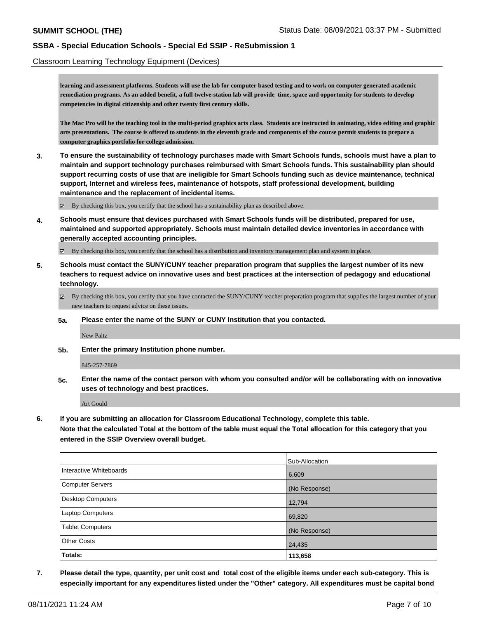Classroom Learning Technology Equipment (Devices)

**learning and assessment platforms. Students will use the lab for computer based testing and to work on computer generated academic remediation programs. As an added benefit, a full twelve-station lab will provide time, space and opportunity for students to develop competencies in digital citizenship and other twenty first century skills.** 

**The Mac Pro will be the teaching tool in the multi-period graphics arts class. Students are instructed in animating, video editing and graphic arts presentations. The course is offered to students in the eleventh grade and components of the course permit students to prepare a computer graphics portfolio for college admission.**

**3. To ensure the sustainability of technology purchases made with Smart Schools funds, schools must have a plan to maintain and support technology purchases reimbursed with Smart Schools funds. This sustainability plan should support recurring costs of use that are ineligible for Smart Schools funding such as device maintenance, technical support, Internet and wireless fees, maintenance of hotspots, staff professional development, building maintenance and the replacement of incidental items.**

 $\boxtimes$  By checking this box, you certify that the school has a sustainability plan as described above.

**4. Schools must ensure that devices purchased with Smart Schools funds will be distributed, prepared for use, maintained and supported appropriately. Schools must maintain detailed device inventories in accordance with generally accepted accounting principles.**

By checking this box, you certify that the school has a distribution and inventory management plan and system in place.

- **5. Schools must contact the SUNY/CUNY teacher preparation program that supplies the largest number of its new teachers to request advice on innovative uses and best practices at the intersection of pedagogy and educational technology.**
	- $\boxtimes$  By checking this box, you certify that you have contacted the SUNY/CUNY teacher preparation program that supplies the largest number of your new teachers to request advice on these issues.
	- **5a. Please enter the name of the SUNY or CUNY Institution that you contacted.**

New Paltz

**5b. Enter the primary Institution phone number.**

845-257-7869

**5c. Enter the name of the contact person with whom you consulted and/or will be collaborating with on innovative uses of technology and best practices.**

Art Gould

**6. If you are submitting an allocation for Classroom Educational Technology, complete this table.**

**Note that the calculated Total at the bottom of the table must equal the Total allocation for this category that you entered in the SSIP Overview overall budget.**

|                         | Sub-Allocation |
|-------------------------|----------------|
| Interactive Whiteboards | 6,609          |
| Computer Servers        | (No Response)  |
| Desktop Computers       | 12,794         |
| Laptop Computers        | 69,820         |
| <b>Tablet Computers</b> | (No Response)  |
| <b>Other Costs</b>      | 24,435         |
| Totals:                 | 113,658        |

**7. Please detail the type, quantity, per unit cost and total cost of the eligible items under each sub-category. This is especially important for any expenditures listed under the "Other" category. All expenditures must be capital bond**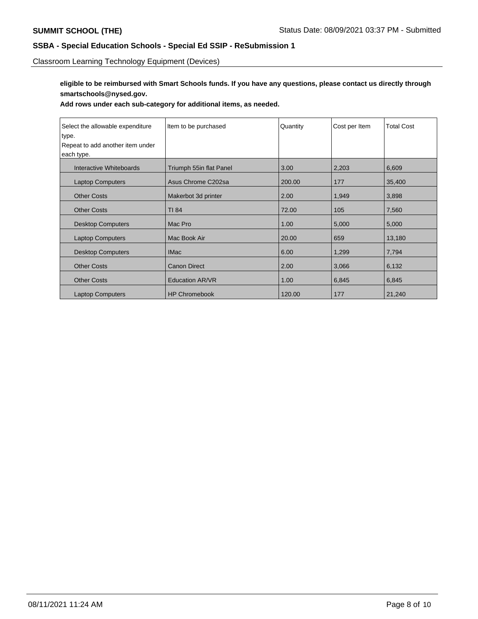Classroom Learning Technology Equipment (Devices)

**eligible to be reimbursed with Smart Schools funds. If you have any questions, please contact us directly through smartschools@nysed.gov.**

**Add rows under each sub-category for additional items, as needed.**

| Select the allowable expenditure | Item to be purchased    | Quantity | Cost per Item | <b>Total Cost</b> |
|----------------------------------|-------------------------|----------|---------------|-------------------|
| type.                            |                         |          |               |                   |
| Repeat to add another item under |                         |          |               |                   |
| each type.                       |                         |          |               |                   |
| Interactive Whiteboards          | Triumph 55in flat Panel | 3.00     | 2,203         | 6,609             |
| <b>Laptop Computers</b>          | Asus Chrome C202sa      | 200.00   | 177           | 35,400            |
| <b>Other Costs</b>               | Makerbot 3d printer     | 2.00     | 1,949         | 3,898             |
| <b>Other Costs</b>               | TI 84                   | 72.00    | 105           | 7,560             |
| <b>Desktop Computers</b>         | Mac Pro                 | 1.00     | 5,000         | 5,000             |
| <b>Laptop Computers</b>          | Mac Book Air            | 20.00    | 659           | 13,180            |
| <b>Desktop Computers</b>         | <b>IMac</b>             | 6.00     | 1,299         | 7,794             |
| <b>Other Costs</b>               | <b>Canon Direct</b>     | 2.00     | 3,066         | 6,132             |
| <b>Other Costs</b>               | <b>Education AR/VR</b>  | 1.00     | 6,845         | 6,845             |
| <b>Laptop Computers</b>          | <b>HP Chromebook</b>    | 120.00   | 177           | 21,240            |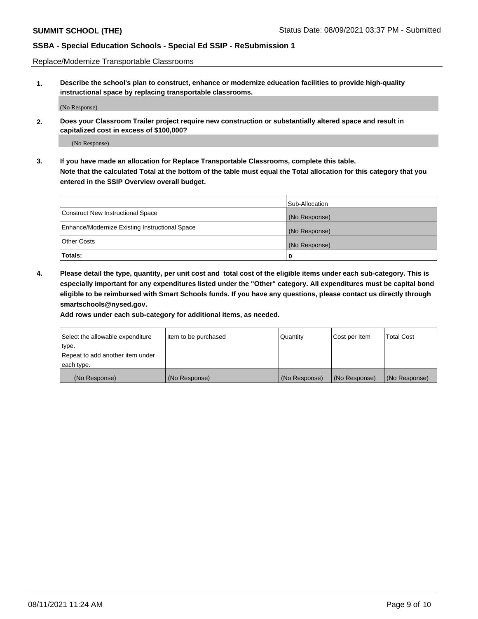Replace/Modernize Transportable Classrooms

**1. Describe the school's plan to construct, enhance or modernize education facilities to provide high-quality instructional space by replacing transportable classrooms.**

(No Response)

**2. Does your Classroom Trailer project require new construction or substantially altered space and result in capitalized cost in excess of \$100,000?**

(No Response)

**3. If you have made an allocation for Replace Transportable Classrooms, complete this table. Note that the calculated Total at the bottom of the table must equal the Total allocation for this category that you entered in the SSIP Overview overall budget.**

|                                                | Sub-Allocation |
|------------------------------------------------|----------------|
| Construct New Instructional Space              | (No Response)  |
| Enhance/Modernize Existing Instructional Space | (No Response)  |
| Other Costs                                    | (No Response)  |
| Totals:                                        | 0              |

**4. Please detail the type, quantity, per unit cost and total cost of the eligible items under each sub-category. This is especially important for any expenditures listed under the "Other" category. All expenditures must be capital bond eligible to be reimbursed with Smart Schools funds. If you have any questions, please contact us directly through smartschools@nysed.gov.**

**Add rows under each sub-category for additional items, as needed.**

| Select the allowable expenditure | Item to be purchased | Quantity      | Cost per Item | <b>Total Cost</b> |
|----------------------------------|----------------------|---------------|---------------|-------------------|
| 'type.                           |                      |               |               |                   |
| Repeat to add another item under |                      |               |               |                   |
| each type.                       |                      |               |               |                   |
| (No Response)                    | (No Response)        | (No Response) | (No Response) | (No Response)     |